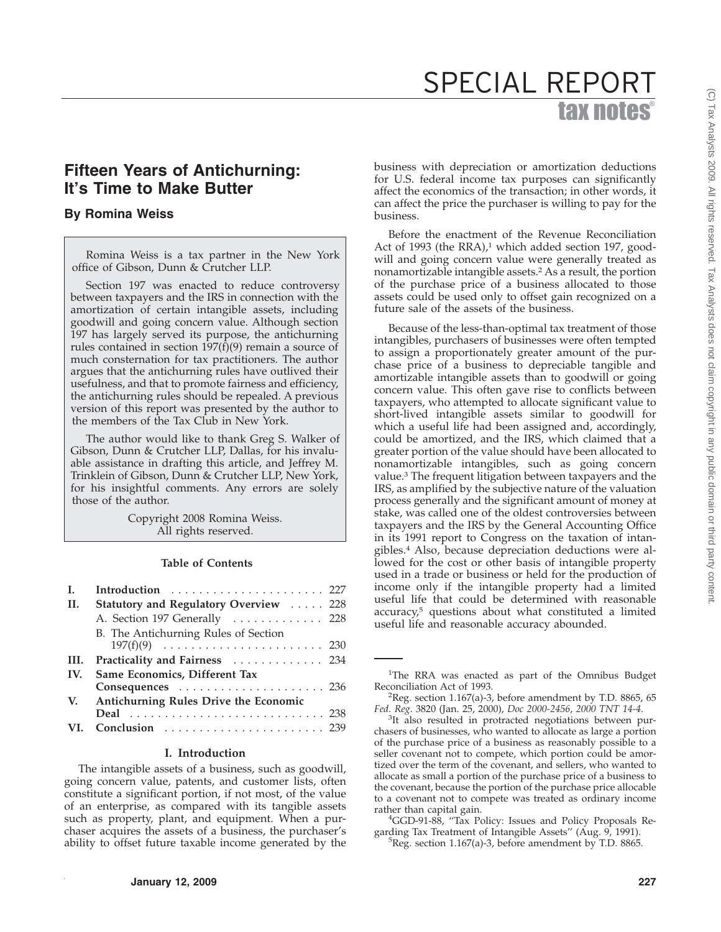## tax notes® SPECIAL REPORT

### **Fifteen Years of Antichurning: It's Time to Make Butter**

### **By Romina Weiss**

Romina Weiss is a tax partner in the New York office of Gibson, Dunn & Crutcher LLP.

Section 197 was enacted to reduce controversy between taxpayers and the IRS in connection with the amortization of certain intangible assets, including goodwill and going concern value. Although section 197 has largely served its purpose, the antichurning rules contained in section  $197(f)(9)$  remain a source of much consternation for tax practitioners. The author argues that the antichurning rules have outlived their usefulness, and that to promote fairness and efficiency, the antichurning rules should be repealed. A previous version of this report was presented by the author to the members of the Tax Club in New York.

The author would like to thank Greg S. Walker of Gibson, Dunn & Crutcher LLP, Dallas, for his invaluable assistance in drafting this article, and Jeffrey M. Trinklein of Gibson, Dunn & Crutcher LLP, New York, for his insightful comments. Any errors are solely those of the author.

> Copyright 2008 Romina Weiss. All rights reserved.

### **Table of Contents**

| L.   | Introduction  227                        |
|------|------------------------------------------|
| II.  | Statutory and Regulatory Overview  228   |
|      | A. Section 197 Generally  228            |
|      | B. The Antichurning Rules of Section     |
|      |                                          |
| III. | <b>Practicality and Fairness</b> 234     |
| IV.  | Same Economics, Different Tax            |
|      | Consequences  236                        |
|      | V. Antichurning Rules Drive the Economic |
|      | Deal  238                                |
|      |                                          |
|      |                                          |

### **I. Introduction**

The intangible assets of a business, such as goodwill, going concern value, patents, and customer lists, often constitute a significant portion, if not most, of the value of an enterprise, as compared with its tangible assets such as property, plant, and equipment. When a purchaser acquires the assets of a business, the purchaser's ability to offset future taxable income generated by the

business with depreciation or amortization deductions for U.S. federal income tax purposes can significantly affect the economics of the transaction; in other words, it can affect the price the purchaser is willing to pay for the business.

Before the enactment of the Revenue Reconciliation Act of 1993 (the RRA),<sup>1</sup> which added section 197, goodwill and going concern value were generally treated as nonamortizable intangible assets.2 As a result, the portion of the purchase price of a business allocated to those assets could be used only to offset gain recognized on a future sale of the assets of the business.

Because of the less-than-optimal tax treatment of those intangibles, purchasers of businesses were often tempted to assign a proportionately greater amount of the purchase price of a business to depreciable tangible and amortizable intangible assets than to goodwill or going concern value. This often gave rise to conflicts between taxpayers, who attempted to allocate significant value to short-lived intangible assets similar to goodwill for which a useful life had been assigned and, accordingly, could be amortized, and the IRS, which claimed that a greater portion of the value should have been allocated to nonamortizable intangibles, such as going concern value.3 The frequent litigation between taxpayers and the IRS, as amplified by the subjective nature of the valuation process generally and the significant amount of money at stake, was called one of the oldest controversies between taxpayers and the IRS by the General Accounting Office in its 1991 report to Congress on the taxation of intangibles.4 Also, because depreciation deductions were allowed for the cost or other basis of intangible property used in a trade or business or held for the production of income only if the intangible property had a limited useful life that could be determined with reasonable accuracy,5 questions about what constituted a limited useful life and reasonable accuracy abounded.

<sup>&</sup>lt;sup>1</sup>The RRA was enacted as part of the Omnibus Budget Reconciliation Act of 1993.

<sup>&</sup>lt;sup>2</sup>Reg. section 1.167(a)-3, before amendment by T.D. 8865, 65 *Fed. Reg*. 3820 (Jan. 25, 2000), *Doc 2000-2456*, *2000 TNT 14-4*. <sup>3</sup>

<sup>&</sup>lt;sup>3</sup>It also resulted in protracted negotiations between purchasers of businesses, who wanted to allocate as large a portion of the purchase price of a business as reasonably possible to a seller covenant not to compete, which portion could be amortized over the term of the covenant, and sellers, who wanted to allocate as small a portion of the purchase price of a business to the covenant, because the portion of the purchase price allocable to a covenant not to compete was treated as ordinary income rather than capital gain. <sup>4</sup>

<sup>&</sup>lt;sup>4</sup>GGD-91-88, "Tax Policy: Issues and Policy Proposals Regarding Tax Treatment of Intangible Assets" (Aug. 9, 1991).

 ${}^{5}$ Reg. section 1.167(a)-3, before amendment by T.D. 8865.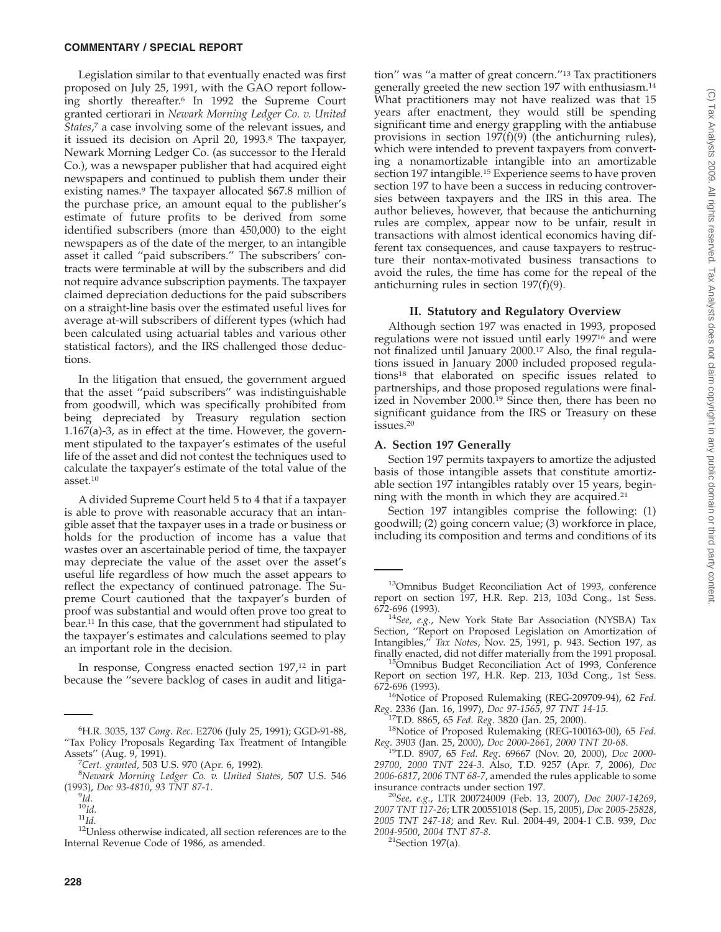Legislation similar to that eventually enacted was first proposed on July 25, 1991, with the GAO report following shortly thereafter.6 In 1992 the Supreme Court granted certiorari in *Newark Morning Ledger Co. v. United States*, <sup>7</sup> a case involving some of the relevant issues, and it issued its decision on April 20, 1993.8 The taxpayer, Newark Morning Ledger Co. (as successor to the Herald Co.), was a newspaper publisher that had acquired eight newspapers and continued to publish them under their existing names.<sup>9</sup> The taxpayer allocated \$67.8 million of the purchase price, an amount equal to the publisher's estimate of future profits to be derived from some identified subscribers (more than 450,000) to the eight newspapers as of the date of the merger, to an intangible asset it called ''paid subscribers.'' The subscribers' contracts were terminable at will by the subscribers and did not require advance subscription payments. The taxpayer claimed depreciation deductions for the paid subscribers on a straight-line basis over the estimated useful lives for average at-will subscribers of different types (which had been calculated using actuarial tables and various other statistical factors), and the IRS challenged those deductions.

In the litigation that ensued, the government argued that the asset ''paid subscribers'' was indistinguishable from goodwill, which was specifically prohibited from being depreciated by Treasury regulation section 1.167(a)-3, as in effect at the time. However, the government stipulated to the taxpayer's estimates of the useful life of the asset and did not contest the techniques used to calculate the taxpayer's estimate of the total value of the asset.10

A divided Supreme Court held 5 to 4 that if a taxpayer is able to prove with reasonable accuracy that an intangible asset that the taxpayer uses in a trade or business or holds for the production of income has a value that wastes over an ascertainable period of time, the taxpayer may depreciate the value of the asset over the asset's useful life regardless of how much the asset appears to reflect the expectancy of continued patronage. The Supreme Court cautioned that the taxpayer's burden of proof was substantial and would often prove too great to bear.11 In this case, that the government had stipulated to the taxpayer's estimates and calculations seemed to play an important role in the decision.

In response, Congress enacted section 197,<sup>12</sup> in part because the ''severe backlog of cases in audit and litigation'' was ''a matter of great concern.''13 Tax practitioners generally greeted the new section 197 with enthusiasm.14 What practitioners may not have realized was that 15 years after enactment, they would still be spending significant time and energy grappling with the antiabuse provisions in section  $197(f)(9)$  (the antichurning rules), which were intended to prevent taxpayers from converting a nonamortizable intangible into an amortizable section 197 intangible.<sup>15</sup> Experience seems to have proven section 197 to have been a success in reducing controversies between taxpayers and the IRS in this area. The author believes, however, that because the antichurning rules are complex, appear now to be unfair, result in transactions with almost identical economics having different tax consequences, and cause taxpayers to restructure their nontax-motivated business transactions to avoid the rules, the time has come for the repeal of the antichurning rules in section 197(f)(9).

### **II. Statutory and Regulatory Overview**

Although section 197 was enacted in 1993, proposed regulations were not issued until early 199716 and were not finalized until January 2000.17 Also, the final regulations issued in January 2000 included proposed regulations18 that elaborated on specific issues related to partnerships, and those proposed regulations were finalized in November 2000.19 Since then, there has been no significant guidance from the IRS or Treasury on these issues.20

### **A. Section 197 Generally**

Section 197 permits taxpayers to amortize the adjusted basis of those intangible assets that constitute amortizable section 197 intangibles ratably over 15 years, beginning with the month in which they are acquired.21

Section 197 intangibles comprise the following: (1) goodwill; (2) going concern value; (3) workforce in place, including its composition and terms and conditions of its

<sup>16</sup>Notice of Proposed Rulemaking (REG-209709-94), 62 Fed. *Reg*. 2336 (Jan. 16, 1997), *Doc 97-1565*, *97 TNT 14-15*. 17T.D. 8865, 65 *Fed. Reg*. 3820 (Jan. 25, 2000). 18Notice of Proposed Rulemaking (REG-100163-00), 65 *Fed.*

*Reg*. 3903 (Jan. 25, 2000), *Doc 2000-2661*, *2000 TNT 20-68*. 19T.D. 8907, 65 *Fed. Reg*. 69667 (Nov. 20, 2000), *Doc 2000-*

*29700*, *2000 TNT 224-3*. Also, T.D. 9257 (Apr. 7, 2006), *Doc 2006-6817*, *2006 TNT 68-7*, amended the rules applicable to some

insurance contracts under section 197. <sup>20</sup>*See, e.g.*, LTR 200724009 (Feb. 13, 2007), *Doc 2007-14269*, *2007 TNT 117-26*; LTR 200551018 (Sep. 15, 2005), *Doc 2005-25828*, *2005 TNT 247-18*; and Rev. Rul. 2004-49, 2004-1 C.B. 939, *Doc 2004-9500*, *2004 TNT 87-8*. 21Section 197(a).

<sup>6</sup> H.R. 3035, 137 *Cong. Rec*. E2706 (July 25, 1991); GGD-91-88, ''Tax Policy Proposals Regarding Tax Treatment of Intangible Assets'' (Aug. 9, 1991). <sup>7</sup>

*Cert. granted*, 503 U.S. 970 (Apr. 6, 1992). <sup>8</sup>

*Newark Morning Ledger Co. v. United States*, 507 U.S. 546 (1993), *Doc 93-4810*, 93 TNT 87-1.

 $\frac{9}{10}$ *Id.* 

<sup>&</sup>lt;sup>11</sup>Id.<br><sup>12</sup>Unless otherwise indicated, all section references are to the Internal Revenue Code of 1986, as amended.

<sup>13</sup>Omnibus Budget Reconciliation Act of 1993, conference report on section 197, H.R. Rep. 213, 103d Cong., 1st Sess.

<sup>&</sup>lt;sup>14</sup>See, e.g., New York State Bar Association (NYSBA) Tax Section, ''Report on Proposed Legislation on Amortization of Intangibles,'' *Tax Notes*, Nov. 25, 1991, p. 943. Section 197, as

<sup>&</sup>lt;sup>15</sup>Omnibus Budget Reconciliation Act of 1993, Conference Report on section 197, H.R. Rep. 213, 103d Cong., 1st Sess.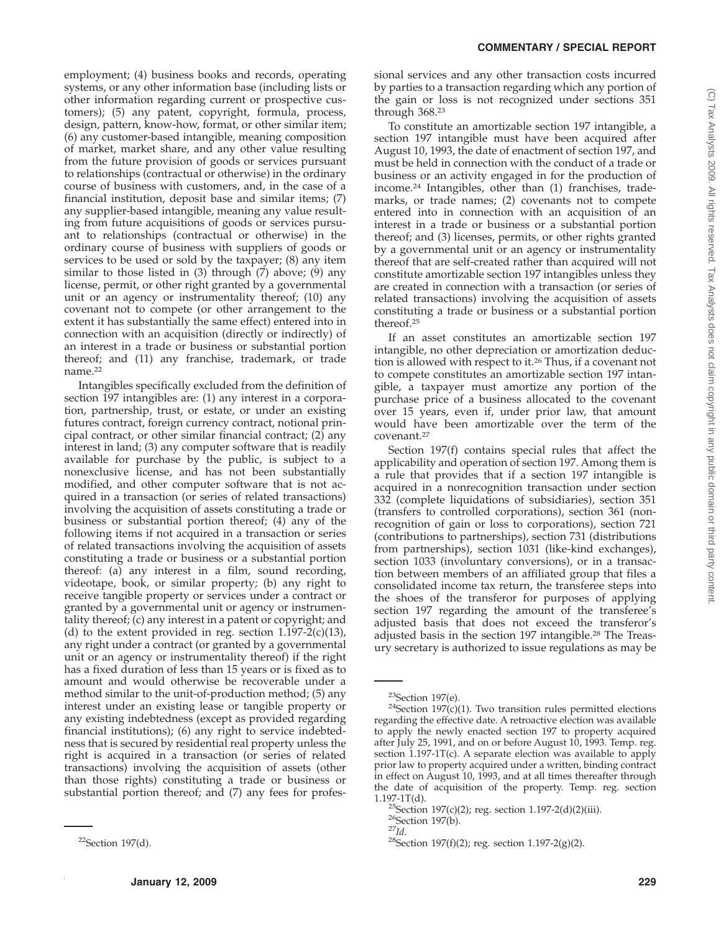employment; (4) business books and records, operating systems, or any other information base (including lists or other information regarding current or prospective customers); (5) any patent, copyright, formula, process, design, pattern, know-how, format, or other similar item; (6) any customer-based intangible, meaning composition of market, market share, and any other value resulting from the future provision of goods or services pursuant to relationships (contractual or otherwise) in the ordinary course of business with customers, and, in the case of a financial institution, deposit base and similar items; (7) any supplier-based intangible, meaning any value resulting from future acquisitions of goods or services pursuant to relationships (contractual or otherwise) in the ordinary course of business with suppliers of goods or services to be used or sold by the taxpayer; (8) any item similar to those listed in (3) through (7) above; (9) any license, permit, or other right granted by a governmental unit or an agency or instrumentality thereof; (10) any covenant not to compete (or other arrangement to the extent it has substantially the same effect) entered into in connection with an acquisition (directly or indirectly) of an interest in a trade or business or substantial portion thereof; and (11) any franchise, trademark, or trade name.<sup>22</sup>

Intangibles specifically excluded from the definition of section 197 intangibles are: (1) any interest in a corporation, partnership, trust, or estate, or under an existing futures contract, foreign currency contract, notional principal contract, or other similar financial contract; (2) any interest in land; (3) any computer software that is readily available for purchase by the public, is subject to a nonexclusive license, and has not been substantially modified, and other computer software that is not acquired in a transaction (or series of related transactions) involving the acquisition of assets constituting a trade or business or substantial portion thereof; (4) any of the following items if not acquired in a transaction or series of related transactions involving the acquisition of assets constituting a trade or business or a substantial portion thereof: (a) any interest in a film, sound recording, videotape, book, or similar property; (b) any right to receive tangible property or services under a contract or granted by a governmental unit or agency or instrumentality thereof; (c) any interest in a patent or copyright; and (d) to the extent provided in reg. section  $1.197-2(c)(13)$ , any right under a contract (or granted by a governmental unit or an agency or instrumentality thereof) if the right has a fixed duration of less than 15 years or is fixed as to amount and would otherwise be recoverable under a method similar to the unit-of-production method; (5) any interest under an existing lease or tangible property or any existing indebtedness (except as provided regarding financial institutions); (6) any right to service indebtedness that is secured by residential real property unless the right is acquired in a transaction (or series of related transactions) involving the acquisition of assets (other than those rights) constituting a trade or business or substantial portion thereof; and (7) any fees for professional services and any other transaction costs incurred by parties to a transaction regarding which any portion of the gain or loss is not recognized under sections 351 through 368.23

To constitute an amortizable section 197 intangible, a section 197 intangible must have been acquired after August 10, 1993, the date of enactment of section 197, and must be held in connection with the conduct of a trade or business or an activity engaged in for the production of income.24 Intangibles, other than (1) franchises, trademarks, or trade names; (2) covenants not to compete entered into in connection with an acquisition of an interest in a trade or business or a substantial portion thereof; and (3) licenses, permits, or other rights granted by a governmental unit or an agency or instrumentality thereof that are self-created rather than acquired will not constitute amortizable section 197 intangibles unless they are created in connection with a transaction (or series of related transactions) involving the acquisition of assets constituting a trade or business or a substantial portion thereof.25

If an asset constitutes an amortizable section 197 intangible, no other depreciation or amortization deduction is allowed with respect to it.26 Thus, if a covenant not to compete constitutes an amortizable section 197 intangible, a taxpayer must amortize any portion of the purchase price of a business allocated to the covenant over 15 years, even if, under prior law, that amount would have been amortizable over the term of the covenant.27

Section 197(f) contains special rules that affect the applicability and operation of section 197. Among them is a rule that provides that if a section 197 intangible is acquired in a nonrecognition transaction under section 332 (complete liquidations of subsidiaries), section 351 (transfers to controlled corporations), section 361 (nonrecognition of gain or loss to corporations), section 721 (contributions to partnerships), section 731 (distributions from partnerships), section 1031 (like-kind exchanges), section 1033 (involuntary conversions), or in a transaction between members of an affiliated group that files a consolidated income tax return, the transferee steps into the shoes of the transferor for purposes of applying section 197 regarding the amount of the transferee's adjusted basis that does not exceed the transferor's adjusted basis in the section 197 intangible.28 The Treasury secretary is authorized to issue regulations as may be

<sup>22</sup>Section 197(d).

<sup>&</sup>lt;sup>23</sup>Section 197(e).<br><sup>24</sup>Section 197(c)(1). Two transition rules permitted elections regarding the effective date. A retroactive election was available to apply the newly enacted section 197 to property acquired after July 25, 1991, and on or before August 10, 1993. Temp. reg. section 1.197-1T(c). A separate election was available to apply prior law to property acquired under a written, binding contract in effect on August 10, 1993, and at all times thereafter through the date of acquisition of the property. Temp. reg. section 1.197-1T(d).

<sup>&</sup>lt;sup>25</sup>Section 197(c)(2); reg. section 1.197-2(d)(2)(iii).<br><sup>26</sup>Section 197(b).<br><sup>27</sup>*Id*. <sup>28</sup>Section 197(f)(2); reg. section 1.197-2(g)(2).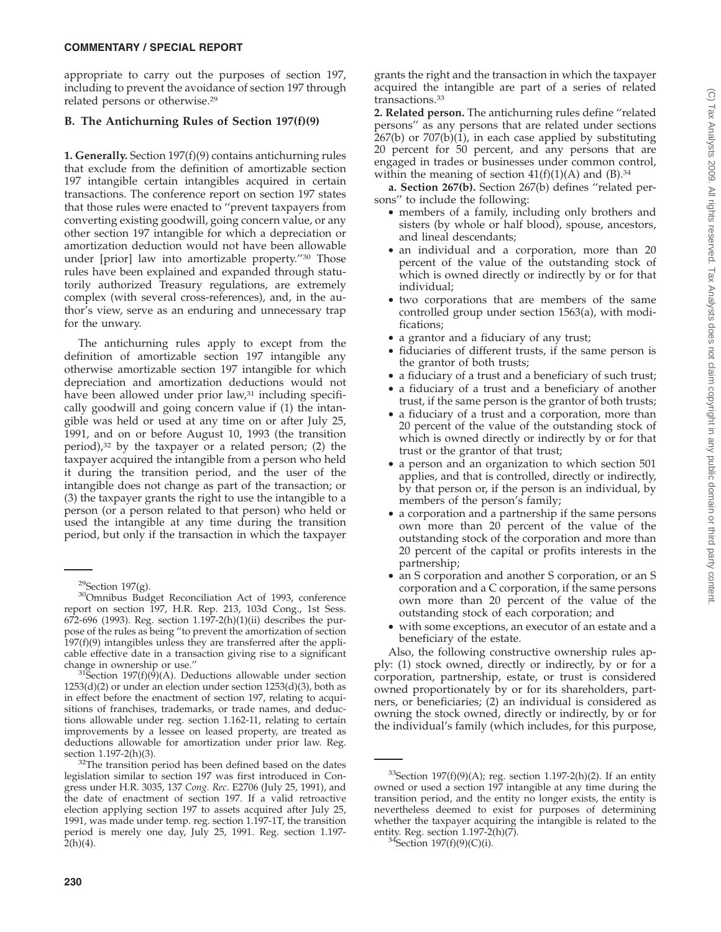# (C) Tax Analysts 2009. All rights reserved. Tax Analysts does not claim copyright in any public domain or third party content.(C) Tax Analysts 2009. All rights reserved. Tax Analysts does not claim copyright in any public domain or third party content

### **COMMENTARY / SPECIAL REPORT**

appropriate to carry out the purposes of section 197, including to prevent the avoidance of section 197 through related persons or otherwise.29

### **B. The Antichurning Rules of Section 197(f)(9)**

**1. Generally.** Section 197(f)(9) contains antichurning rules that exclude from the definition of amortizable section 197 intangible certain intangibles acquired in certain transactions. The conference report on section 197 states that those rules were enacted to ''prevent taxpayers from converting existing goodwill, going concern value, or any other section 197 intangible for which a depreciation or amortization deduction would not have been allowable under [prior] law into amortizable property.''30 Those rules have been explained and expanded through statutorily authorized Treasury regulations, are extremely complex (with several cross-references), and, in the author's view, serve as an enduring and unnecessary trap for the unwary.

The antichurning rules apply to except from the definition of amortizable section 197 intangible any otherwise amortizable section 197 intangible for which depreciation and amortization deductions would not have been allowed under prior law,<sup>31</sup> including specifically goodwill and going concern value if (1) the intangible was held or used at any time on or after July 25, 1991, and on or before August 10, 1993 (the transition period), $32$  by the taxpayer or a related person; (2) the taxpayer acquired the intangible from a person who held it during the transition period, and the user of the intangible does not change as part of the transaction; or (3) the taxpayer grants the right to use the intangible to a person (or a person related to that person) who held or used the intangible at any time during the transition period, but only if the transaction in which the taxpayer

grants the right and the transaction in which the taxpayer acquired the intangible are part of a series of related transactions.33

**2. Related person.** The antichurning rules define ''related persons'' as any persons that are related under sections 267(b) or 707(b)(1), in each case applied by substituting 20 percent for 50 percent, and any persons that are engaged in trades or businesses under common control, within the meaning of section  $41(f)(1)(A)$  and  $(B).^{34}$ 

**a. Section 267(b).** Section 267(b) defines ''related persons'' to include the following:

- members of a family, including only brothers and sisters (by whole or half blood), spouse, ancestors, and lineal descendants;
- an individual and a corporation, more than 20 percent of the value of the outstanding stock of which is owned directly or indirectly by or for that individual;
- two corporations that are members of the same controlled group under section 1563(a), with modifications;
- a grantor and a fiduciary of any trust;
- fiduciaries of different trusts, if the same person is the grantor of both trusts;
- a fiduciary of a trust and a beneficiary of such trust;
- a fiduciary of a trust and a beneficiary of another trust, if the same person is the grantor of both trusts;
- a fiduciary of a trust and a corporation, more than 20 percent of the value of the outstanding stock of which is owned directly or indirectly by or for that trust or the grantor of that trust;
- a person and an organization to which section 501 applies, and that is controlled, directly or indirectly, by that person or, if the person is an individual, by members of the person's family;
- a corporation and a partnership if the same persons own more than 20 percent of the value of the outstanding stock of the corporation and more than 20 percent of the capital or profits interests in the partnership;
- an S corporation and another S corporation, or an S corporation and a C corporation, if the same persons own more than 20 percent of the value of the outstanding stock of each corporation; and
- with some exceptions, an executor of an estate and a beneficiary of the estate.

Also, the following constructive ownership rules apply: (1) stock owned, directly or indirectly, by or for a corporation, partnership, estate, or trust is considered owned proportionately by or for its shareholders, partners, or beneficiaries; (2) an individual is considered as owning the stock owned, directly or indirectly, by or for the individual's family (which includes, for this purpose,

<sup>34</sup>Section 197(f)(9)(C)(i).

<sup>&</sup>lt;sup>29</sup>Section 197(g).<br><sup>30</sup>Omnibus Budget Reconciliation Act of 1993, conference report on section 197, H.R. Rep. 213, 103d Cong., 1st Sess. 672-696 (1993). Reg. section 1.197-2(h)(1)(ii) describes the purpose of the rules as being ''to prevent the amortization of section  $197(f)(9)$  intangibles unless they are transferred after the applicable effective date in a transaction giving rise to a significant change in ownership or use."<br> $31$ Section 197(f)(9)(A). Deductions allowable under section

<sup>1253(</sup>d)(2) or under an election under section 1253(d)(3), both as in effect before the enactment of section 197, relating to acquisitions of franchises, trademarks, or trade names, and deductions allowable under reg. section 1.162-11, relating to certain improvements by a lessee on leased property, are treated as deductions allowable for amortization under prior law. Reg.

section 1.197-2(h)(3).  $32$ The transition period has been defined based on the dates legislation similar to section 197 was first introduced in Congress under H.R. 3035, 137 *Cong. Rec*. E2706 (July 25, 1991), and the date of enactment of section 197. If a valid retroactive election applying section 197 to assets acquired after July 25, 1991, was made under temp. reg. section 1.197-1T, the transition period is merely one day, July 25, 1991. Reg. section 1.197-  $2(h)(4)$ .

<sup>&</sup>lt;sup>33</sup>Section 197(f)(9)(A); reg. section 1.197-2(h)(2). If an entity owned or used a section 197 intangible at any time during the transition period, and the entity no longer exists, the entity is nevertheless deemed to exist for purposes of determining whether the taxpayer acquiring the intangible is related to the entity. Reg. section  $1.197-2(h)(7)$ .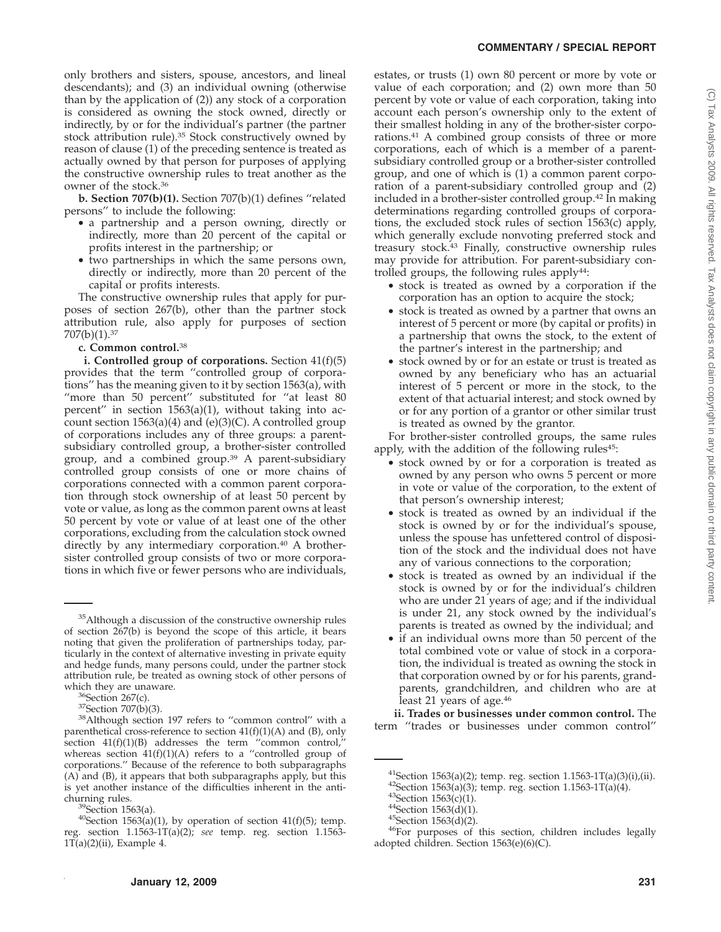only brothers and sisters, spouse, ancestors, and lineal descendants); and (3) an individual owning (otherwise than by the application of (2)) any stock of a corporation is considered as owning the stock owned, directly or indirectly, by or for the individual's partner (the partner stock attribution rule).35 Stock constructively owned by reason of clause (1) of the preceding sentence is treated as actually owned by that person for purposes of applying the constructive ownership rules to treat another as the owner of the stock.36

**b. Section 707(b)(1).** Section 707(b)(1) defines ''related persons'' to include the following:

- a partnership and a person owning, directly or indirectly, more than 20 percent of the capital or profits interest in the partnership; or
- two partnerships in which the same persons own, directly or indirectly, more than 20 percent of the capital or profits interests.

The constructive ownership rules that apply for purposes of section 267(b), other than the partner stock attribution rule, also apply for purposes of section 707(b)(1).37

### **c. Common control.**<sup>38</sup>

**i. Controlled group of corporations.** Section 41(f)(5) provides that the term ''controlled group of corporations'' has the meaning given to it by section 1563(a), with ''more than 50 percent'' substituted for ''at least 80 percent'' in section 1563(a)(1), without taking into account section  $1563(a)(4)$  and  $(e)(3)(C)$ . A controlled group of corporations includes any of three groups: a parentsubsidiary controlled group, a brother-sister controlled group, and a combined group.<sup>39</sup> A parent-subsidiary controlled group consists of one or more chains of corporations connected with a common parent corporation through stock ownership of at least 50 percent by vote or value, as long as the common parent owns at least 50 percent by vote or value of at least one of the other corporations, excluding from the calculation stock owned directly by any intermediary corporation.40 A brothersister controlled group consists of two or more corporations in which five or fewer persons who are individuals,

estates, or trusts (1) own 80 percent or more by vote or value of each corporation; and (2) own more than 50 percent by vote or value of each corporation, taking into account each person's ownership only to the extent of their smallest holding in any of the brother-sister corporations.41 A combined group consists of three or more corporations, each of which is a member of a parentsubsidiary controlled group or a brother-sister controlled group, and one of which is (1) a common parent corporation of a parent-subsidiary controlled group and (2) included in a brother-sister controlled group.<sup>42</sup> In making determinations regarding controlled groups of corporations, the excluded stock rules of section 1563(c) apply, which generally exclude nonvoting preferred stock and treasury stock.43 Finally, constructive ownership rules may provide for attribution. For parent-subsidiary controlled groups, the following rules apply<sup>44</sup>:

- stock is treated as owned by a corporation if the corporation has an option to acquire the stock;
- stock is treated as owned by a partner that owns an interest of 5 percent or more (by capital or profits) in a partnership that owns the stock, to the extent of the partner's interest in the partnership; and
- stock owned by or for an estate or trust is treated as owned by any beneficiary who has an actuarial interest of 5 percent or more in the stock, to the extent of that actuarial interest; and stock owned by or for any portion of a grantor or other similar trust is treated as owned by the grantor.

For brother-sister controlled groups, the same rules apply, with the addition of the following rules<sup>45</sup>:

- stock owned by or for a corporation is treated as owned by any person who owns 5 percent or more in vote or value of the corporation, to the extent of that person's ownership interest;
- stock is treated as owned by an individual if the stock is owned by or for the individual's spouse, unless the spouse has unfettered control of disposition of the stock and the individual does not have any of various connections to the corporation;
- stock is treated as owned by an individual if the stock is owned by or for the individual's children who are under 21 years of age; and if the individual is under 21, any stock owned by the individual's parents is treated as owned by the individual; and
- if an individual owns more than 50 percent of the total combined vote or value of stock in a corporation, the individual is treated as owning the stock in that corporation owned by or for his parents, grandparents, grandchildren, and children who are at least 21 years of age.46

**ii. Trades or businesses under common control.** The term ''trades or businesses under common control''

<sup>&</sup>lt;sup>35</sup>Although a discussion of the constructive ownership rules of section  $267(b)$  is beyond the scope of this article, it bears noting that given the proliferation of partnerships today, particularly in the context of alternative investing in private equity and hedge funds, many persons could, under the partner stock attribution rule, be treated as owning stock of other persons of

<sup>&</sup>lt;sup>36</sup>Section 267(c).<br><sup>37</sup>Section 707(b)(3).<br><sup>38</sup>Although section 197 refers to "common control" with a parenthetical cross-reference to section  $41(f)(1)(A)$  and  $(B)$ , only section  $41(f)(1)(B)$  addresses the term "common control," whereas section  $41(f)(1)(A)$  refers to a "controlled group of corporations.'' Because of the reference to both subparagraphs  $(A)$  and  $(B)$ , it appears that both subparagraphs apply, but this is yet another instance of the difficulties inherent in the anti-

churning rules.<br><sup>39</sup>Section 1563(a).<br><sup>40</sup>Section 1563(a)(1), by operation of section 41(f)(5); temp. reg. section 1.1563-1T(a)(2); *see* temp. reg. section 1.1563-  $1T(a)(2)(ii)$ , Example 4.

<sup>&</sup>lt;sup>41</sup>Section 1563(a)(2); temp. reg. section 1.1563-1T(a)(3)(i),(ii).<br><sup>42</sup>Section 1563(a)(3); temp. reg. section 1.1563-1T(a)(4).<br><sup>43</sup>Section 1563(c)(1).<br><sup>44</sup>Section 1563(d)(1).<br><sup>45</sup>Section 1563(d)(2).<br><sup>45</sup>Section 1563(d)(2

adopted children. Section 1563(e)(6)(C).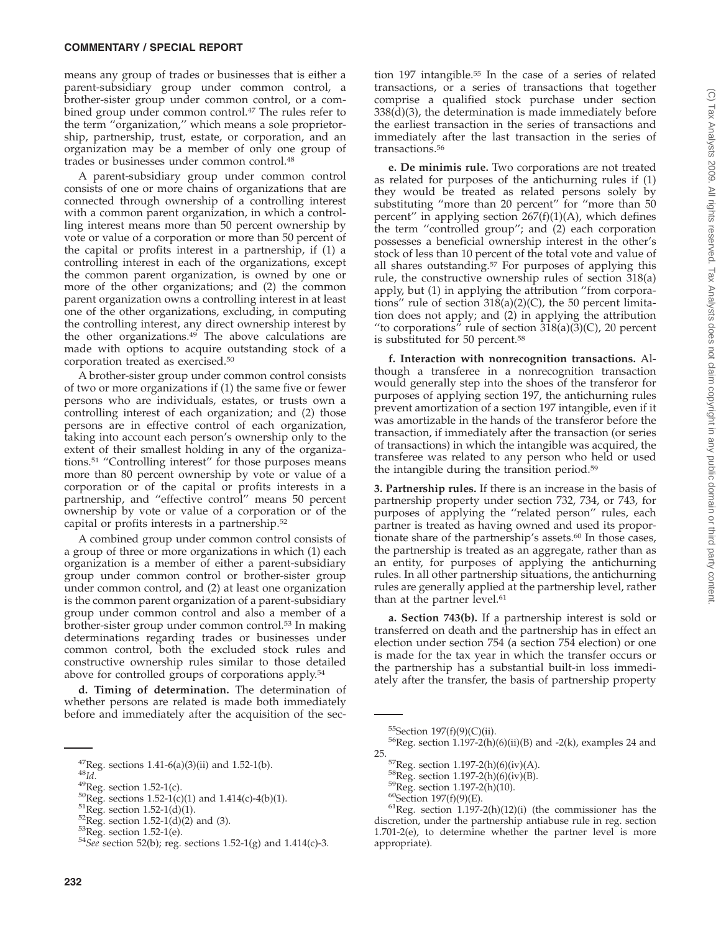means any group of trades or businesses that is either a parent-subsidiary group under common control, a brother-sister group under common control, or a combined group under common control.47 The rules refer to the term ''organization,'' which means a sole proprietorship, partnership, trust, estate, or corporation, and an organization may be a member of only one group of trades or businesses under common control.48

A parent-subsidiary group under common control consists of one or more chains of organizations that are connected through ownership of a controlling interest with a common parent organization, in which a controlling interest means more than 50 percent ownership by vote or value of a corporation or more than 50 percent of the capital or profits interest in a partnership, if (1) a controlling interest in each of the organizations, except the common parent organization, is owned by one or more of the other organizations; and (2) the common parent organization owns a controlling interest in at least one of the other organizations, excluding, in computing the controlling interest, any direct ownership interest by the other organizations.<sup>49</sup> The above calculations are made with options to acquire outstanding stock of a corporation treated as exercised.50

A brother-sister group under common control consists of two or more organizations if (1) the same five or fewer persons who are individuals, estates, or trusts own a controlling interest of each organization; and (2) those persons are in effective control of each organization, taking into account each person's ownership only to the extent of their smallest holding in any of the organizations.51 ''Controlling interest'' for those purposes means more than 80 percent ownership by vote or value of a corporation or of the capital or profits interests in a partnership, and ''effective control'' means 50 percent ownership by vote or value of a corporation or of the capital or profits interests in a partnership.52

A combined group under common control consists of a group of three or more organizations in which (1) each organization is a member of either a parent-subsidiary group under common control or brother-sister group under common control, and (2) at least one organization is the common parent organization of a parent-subsidiary group under common control and also a member of a brother-sister group under common control.53 In making determinations regarding trades or businesses under common control, both the excluded stock rules and constructive ownership rules similar to those detailed above for controlled groups of corporations apply.54

**d. Timing of determination.** The determination of whether persons are related is made both immediately before and immediately after the acquisition of the section 197 intangible.55 In the case of a series of related transactions, or a series of transactions that together comprise a qualified stock purchase under section 338(d)(3), the determination is made immediately before the earliest transaction in the series of transactions and immediately after the last transaction in the series of transactions.56

**e. De minimis rule.** Two corporations are not treated as related for purposes of the antichurning rules if (1) they would be treated as related persons solely by substituting ''more than 20 percent'' for ''more than 50 percent" in applying section  $267(f)(1)(A)$ , which defines the term ''controlled group''; and (2) each corporation possesses a beneficial ownership interest in the other's stock of less than 10 percent of the total vote and value of all shares outstanding.57 For purposes of applying this rule, the constructive ownership rules of section 318(a) apply, but (1) in applying the attribution ''from corporations'' rule of section 318(a)(2)(C), the 50 percent limitation does not apply; and (2) in applying the attribution "to corporations" rule of section  $318(a)(3)(C)$ , 20 percent is substituted for 50 percent.58

**f. Interaction with nonrecognition transactions.** Although a transferee in a nonrecognition transaction would generally step into the shoes of the transferor for purposes of applying section 197, the antichurning rules prevent amortization of a section 197 intangible, even if it was amortizable in the hands of the transferor before the transaction, if immediately after the transaction (or series of transactions) in which the intangible was acquired, the transferee was related to any person who held or used the intangible during the transition period.59

**3. Partnership rules.** If there is an increase in the basis of partnership property under section 732, 734, or 743, for purposes of applying the ''related person'' rules, each partner is treated as having owned and used its proportionate share of the partnership's assets.<sup>60</sup> In those cases, the partnership is treated as an aggregate, rather than as an entity, for purposes of applying the antichurning rules. In all other partnership situations, the antichurning rules are generally applied at the partnership level, rather than at the partner level.<sup>61</sup>

**a. Section 743(b).** If a partnership interest is sold or transferred on death and the partnership has in effect an election under section 754 (a section 754 election) or one is made for the tax year in which the transfer occurs or the partnership has a substantial built-in loss immediately after the transfer, the basis of partnership property

<sup>&</sup>lt;sup>47</sup>Reg. sections 1.41-6(a)(3)(ii) and 1.52-1(b).<br><sup>48</sup>*Id*.<br><sup>49</sup>Reg. section 1.52-1(c).<br><sup>50</sup>Reg. sections 1.52-1(c)(1) and 1.414(c)-4(b)(1).<br><sup>51</sup>Reg. section 1.52-1(d)(1).<br><sup>52</sup>Reg. section 1.52-1(d)(2) and (3).<br><sup>53</sup>Reg. s

<sup>&</sup>lt;sup>55</sup>Section 197(f)(9)(C)(ii).<br><sup>56</sup>Reg. section 1.197-2(h)(6)(ii)(B) and -2(k), examples 24 and

<sup>25.</sup>  ${}^{57}$ Reg. section 1.197-2(h)(6)(iv)(A).  ${}^{58}$ Reg. section 1.197-2(h)(6)(iv)(B).  ${}^{59}$ Reg. section 1.197-2(h)(10).  ${}^{60}$ Section 197(f)(9)(E).  ${}^{61}$ Reg. section 1.197-2(h)(12)(i) (the commissioner has the discretion, under the partnership antiabuse rule in reg. section 1.701-2(e), to determine whether the partner level is more appropriate).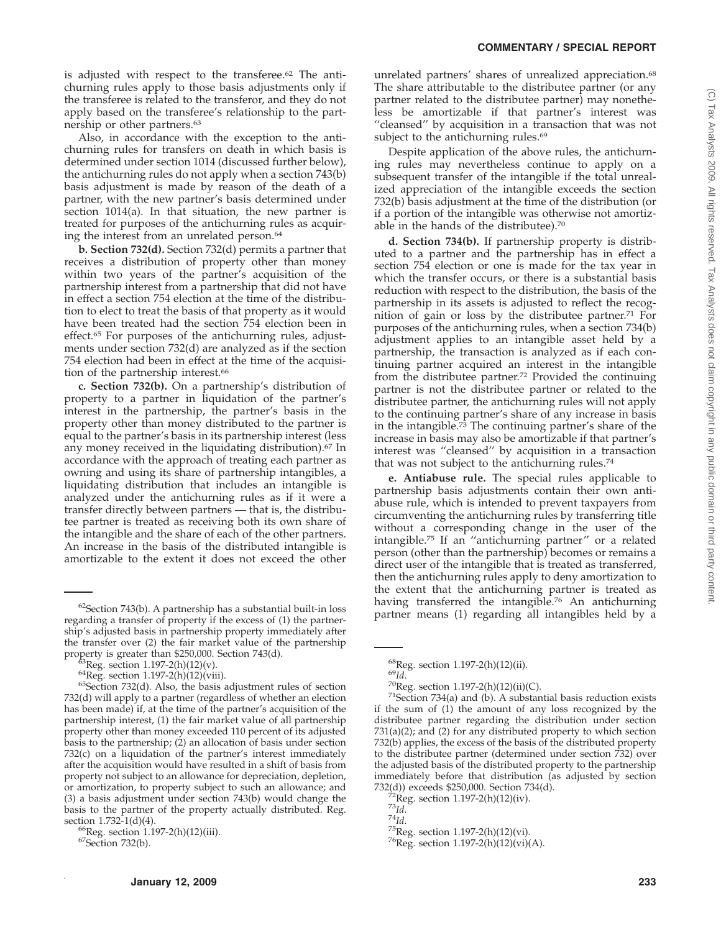is adjusted with respect to the transferee.62 The antichurning rules apply to those basis adjustments only if the transferee is related to the transferor, and they do not apply based on the transferee's relationship to the partnership or other partners.63

Also, in accordance with the exception to the antichurning rules for transfers on death in which basis is determined under section 1014 (discussed further below), the antichurning rules do not apply when a section 743(b) basis adjustment is made by reason of the death of a partner, with the new partner's basis determined under section 1014(a). In that situation, the new partner is treated for purposes of the antichurning rules as acquiring the interest from an unrelated person.<sup>64</sup>

**b. Section 732(d).** Section 732(d) permits a partner that receives a distribution of property other than money within two years of the partner's acquisition of the partnership interest from a partnership that did not have in effect a section 754 election at the time of the distribution to elect to treat the basis of that property as it would have been treated had the section 754 election been in effect.65 For purposes of the antichurning rules, adjustments under section 732(d) are analyzed as if the section 754 election had been in effect at the time of the acquisition of the partnership interest.<sup>66</sup>

**c. Section 732(b).** On a partnership's distribution of property to a partner in liquidation of the partner's interest in the partnership, the partner's basis in the property other than money distributed to the partner is equal to the partner's basis in its partnership interest (less any money received in the liquidating distribution).67 In accordance with the approach of treating each partner as owning and using its share of partnership intangibles, a liquidating distribution that includes an intangible is analyzed under the antichurning rules as if it were a transfer directly between partners — that is, the distributee partner is treated as receiving both its own share of the intangible and the share of each of the other partners. An increase in the basis of the distributed intangible is amortizable to the extent it does not exceed the other

unrelated partners' shares of unrealized appreciation.<sup>68</sup> The share attributable to the distributee partner (or any partner related to the distributee partner) may nonetheless be amortizable if that partner's interest was "cleansed" by acquisition in a transaction that was not subject to the antichurning rules.<sup>69</sup>

Despite application of the above rules, the antichurning rules may nevertheless continue to apply on a subsequent transfer of the intangible if the total unrealized appreciation of the intangible exceeds the section 732(b) basis adjustment at the time of the distribution (or if a portion of the intangible was otherwise not amortizable in the hands of the distributee).70

**d. Section 734(b).** If partnership property is distributed to a partner and the partnership has in effect a section 754 election or one is made for the tax year in which the transfer occurs, or there is a substantial basis reduction with respect to the distribution, the basis of the partnership in its assets is adjusted to reflect the recognition of gain or loss by the distributee partner.71 For purposes of the antichurning rules, when a section 734(b) adjustment applies to an intangible asset held by a partnership, the transaction is analyzed as if each continuing partner acquired an interest in the intangible from the distributee partner.72 Provided the continuing partner is not the distributee partner or related to the distributee partner, the antichurning rules will not apply to the continuing partner's share of any increase in basis in the intangible.<sup>73</sup> The continuing partner's share of the increase in basis may also be amortizable if that partner's interest was ''cleansed'' by acquisition in a transaction that was not subject to the antichurning rules.<sup>74</sup>

**e. Antiabuse rule.** The special rules applicable to partnership basis adjustments contain their own antiabuse rule, which is intended to prevent taxpayers from circumventing the antichurning rules by transferring title without a corresponding change in the user of the intangible.75 If an ''antichurning partner'' or a related person (other than the partnership) becomes or remains a direct user of the intangible that is treated as transferred, then the antichurning rules apply to deny amortization to the extent that the antichurning partner is treated as having transferred the intangible.<sup>76</sup> An antichurning  $\frac{62}{2}$ Section 743(b). A partnership has a substantial built-in loss partner means (1) regarding all intangibles held by a  $\frac{1}{2}$ 

regarding a transfer of property if the excess of (1) the partnership's adjusted basis in partnership property immediately after the transfer over (2) the fair market value of the partnership

property is greater than \$250,000. Section 743(d).<br><sup>63</sup>Reg. section 1.197-2(h)(12)(v).<br><sup>64</sup>Reg. section 1.197-2(h)(12)(viii).<br><sup>65</sup>Section 732(d). Also, the basis adjustment rules of section 732(d) will apply to a partner (regardless of whether an election has been made) if, at the time of the partner's acquisition of the partnership interest, (1) the fair market value of all partnership property other than money exceeded 110 percent of its adjusted basis to the partnership; (2) an allocation of basis under section 732(c) on a liquidation of the partner's interest immediately after the acquisition would have resulted in a shift of basis from property not subject to an allowance for depreciation, depletion, or amortization, to property subject to such an allowance; and (3) a basis adjustment under section 743(b) would change the basis to the partner of the property actually distributed. Reg. section 1.732-1(d)(4).

 ${}^{66}$ Reg. section 1.197-2(h)(12)(iii).  ${}^{67}$ Section 732(b).

<sup>&</sup>lt;sup>68</sup>Reg. section 1.197-2(h)(12)(ii).<br><sup>69</sup>*Id*. 70<br><sup>70</sup>Reg. section 1.197-2(h)(12)(ii)(C).<br><sup>71</sup>Section 734(a) and (b). A substantial basis reduction exists if the sum of (1) the amount of any loss recognized by the distributee partner regarding the distribution under section 731(a)(2); and (2) for any distributed property to which section 732(b) applies, the excess of the basis of the distributed property to the distributee partner (determined under section 732) over the adjusted basis of the distributed property to the partnership immediately before that distribution (as adjusted by section  $732(d)$ ) exceeds \$250,000. Section  $734(d)$ .

<sup>&</sup>lt;sup>72</sup>Reg. section 1.197-2(h)(12)(iv).<br><sup>73</sup>*Id.* 7<sup>4</sup>*Id.* 75Reg. section 1.197-2(h)(12)(vi). 7<sup>6</sup>Reg. section 1.197-2(h)(12)(vi)(A).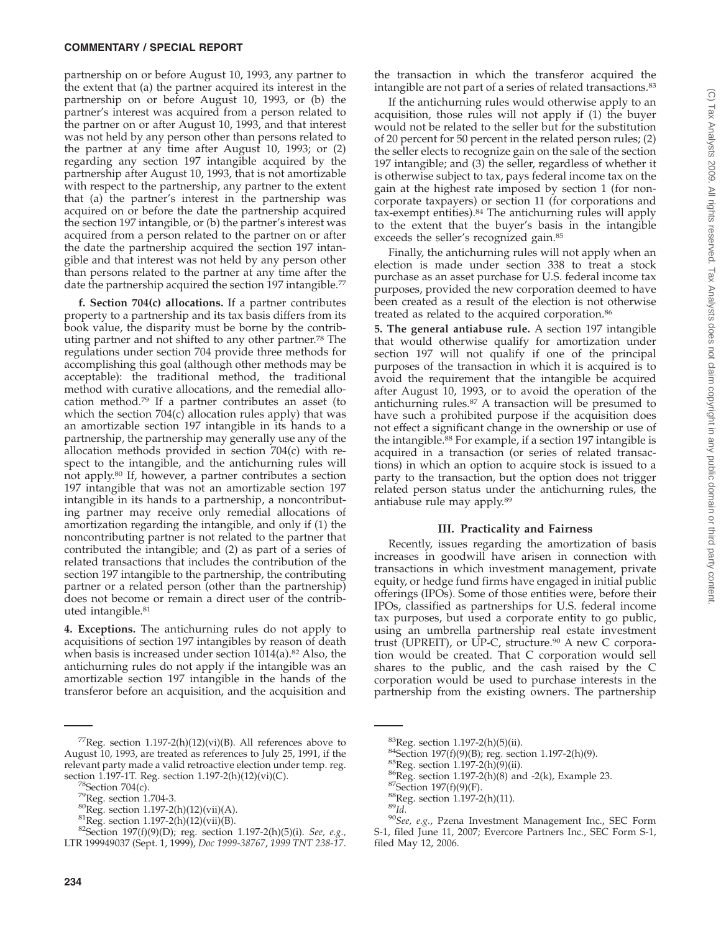partnership on or before August 10, 1993, any partner to the extent that (a) the partner acquired its interest in the partnership on or before August 10, 1993, or (b) the partner's interest was acquired from a person related to the partner on or after August 10, 1993, and that interest was not held by any person other than persons related to the partner at any time after August 10, 1993; or (2) regarding any section 197 intangible acquired by the partnership after August 10, 1993, that is not amortizable with respect to the partnership, any partner to the extent that (a) the partner's interest in the partnership was acquired on or before the date the partnership acquired the section 197 intangible, or (b) the partner's interest was acquired from a person related to the partner on or after the date the partnership acquired the section 197 intangible and that interest was not held by any person other than persons related to the partner at any time after the date the partnership acquired the section 197 intangible.<sup>77</sup>

**f. Section 704(c) allocations.** If a partner contributes property to a partnership and its tax basis differs from its book value, the disparity must be borne by the contributing partner and not shifted to any other partner.78 The regulations under section 704 provide three methods for accomplishing this goal (although other methods may be acceptable): the traditional method, the traditional method with curative allocations, and the remedial allocation method.79 If a partner contributes an asset (to which the section  $704(c)$  allocation rules apply) that was an amortizable section 197 intangible in its hands to a partnership, the partnership may generally use any of the allocation methods provided in section 704(c) with respect to the intangible, and the antichurning rules will not apply.80 If, however, a partner contributes a section 197 intangible that was not an amortizable section 197 intangible in its hands to a partnership, a noncontributing partner may receive only remedial allocations of amortization regarding the intangible, and only if (1) the noncontributing partner is not related to the partner that contributed the intangible; and (2) as part of a series of related transactions that includes the contribution of the section 197 intangible to the partnership, the contributing partner or a related person (other than the partnership) does not become or remain a direct user of the contributed intangible.81

**4. Exceptions.** The antichurning rules do not apply to acquisitions of section 197 intangibles by reason of death when basis is increased under section 1014(a).<sup>82</sup> Also, the antichurning rules do not apply if the intangible was an amortizable section 197 intangible in the hands of the transferor before an acquisition, and the acquisition and

<sup>77</sup>Reg. section 1.197-2(h)(12)(vi)(B). All references above to August 10, 1993, are treated as references to July 25, 1991, if the relevant party made a valid retroactive election under temp. reg.<br>section 1.197-1T. Reg. section 1.197-2(h)(12)(vi)(C).

the transaction in which the transferor acquired the intangible are not part of a series of related transactions.83

If the antichurning rules would otherwise apply to an acquisition, those rules will not apply if (1) the buyer would not be related to the seller but for the substitution of 20 percent for 50 percent in the related person rules; (2) the seller elects to recognize gain on the sale of the section 197 intangible; and (3) the seller, regardless of whether it is otherwise subject to tax, pays federal income tax on the gain at the highest rate imposed by section 1 (for noncorporate taxpayers) or section 11 (for corporations and tax-exempt entities).84 The antichurning rules will apply to the extent that the buyer's basis in the intangible exceeds the seller's recognized gain.<sup>85</sup>

Finally, the antichurning rules will not apply when an election is made under section 338 to treat a stock purchase as an asset purchase for U.S. federal income tax purposes, provided the new corporation deemed to have been created as a result of the election is not otherwise treated as related to the acquired corporation.<sup>86</sup>

**5. The general antiabuse rule.** A section 197 intangible that would otherwise qualify for amortization under section 197 will not qualify if one of the principal purposes of the transaction in which it is acquired is to avoid the requirement that the intangible be acquired after August 10, 1993, or to avoid the operation of the antichurning rules.87 A transaction will be presumed to have such a prohibited purpose if the acquisition does not effect a significant change in the ownership or use of the intangible.88 For example, if a section 197 intangible is acquired in a transaction (or series of related transactions) in which an option to acquire stock is issued to a party to the transaction, but the option does not trigger related person status under the antichurning rules, the antiabuse rule may apply.89

### **III. Practicality and Fairness**

Recently, issues regarding the amortization of basis increases in goodwill have arisen in connection with transactions in which investment management, private equity, or hedge fund firms have engaged in initial public offerings (IPOs). Some of those entities were, before their IPOs, classified as partnerships for U.S. federal income tax purposes, but used a corporate entity to go public, using an umbrella partnership real estate investment trust (UPREIT), or UP-C, structure. $90$  A new C corporation would be created. That C corporation would sell shares to the public, and the cash raised by the C corporation would be used to purchase interests in the partnership from the existing owners. The partnership

- 
- 
- 

<sup>&</sup>lt;sup>78</sup>Section 704(c).<br><sup>79</sup>Reg. section 1.704-3.<br><sup>80</sup>Reg. section 1.197-2(h)(12)(vii)(A).<br><sup>81</sup>Reg. section 1.197-2(h)(12)(vii)(B).<br><sup>82</sup>Section 197(f)(9)(D); reg. section 1.197-2(h)(5)(i). *See, e.g.*, LTR 199949037 (Sept. 1, 1999), *Doc 1999-38767*, *1999 TNT 238-17*.

<sup>&</sup>lt;sup>83</sup>Reg. section 1.197-2(h)(5)(ii).<br><sup>84</sup>Section 197(f)(9)(B); reg. section 1.197-2(h)(9).<br><sup>85</sup>Reg. section 1.197-2(h)(9)(ii).<br><sup>86</sup>Reg. section 1.197-2(h)(8) and -2(k), Example 23.<br><sup>87</sup>Section 197(f)(9)(F).<br><sup>88</sup>Reg. sectio S-1, filed June 11, 2007; Evercore Partners Inc., SEC Form S-1, filed May 12, 2006.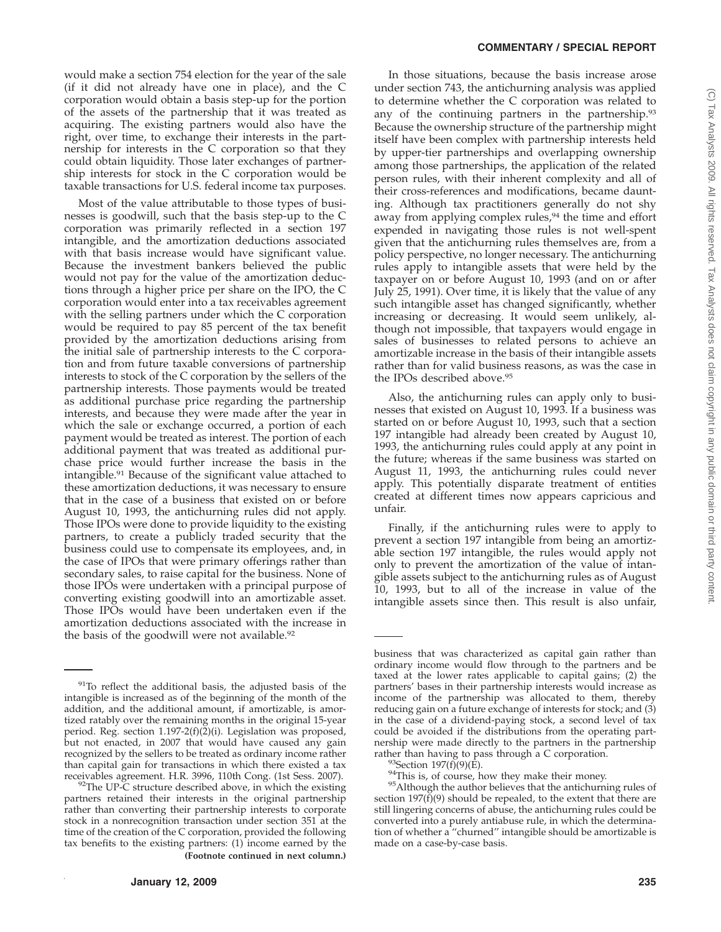would make a section 754 election for the year of the sale (if it did not already have one in place), and the C corporation would obtain a basis step-up for the portion of the assets of the partnership that it was treated as acquiring. The existing partners would also have the right, over time, to exchange their interests in the partnership for interests in the C corporation so that they could obtain liquidity. Those later exchanges of partnership interests for stock in the C corporation would be taxable transactions for U.S. federal income tax purposes.

Most of the value attributable to those types of businesses is goodwill, such that the basis step-up to the C corporation was primarily reflected in a section 197 intangible, and the amortization deductions associated with that basis increase would have significant value. Because the investment bankers believed the public would not pay for the value of the amortization deductions through a higher price per share on the IPO, the C corporation would enter into a tax receivables agreement with the selling partners under which the C corporation would be required to pay 85 percent of the tax benefit provided by the amortization deductions arising from the initial sale of partnership interests to the C corporation and from future taxable conversions of partnership interests to stock of the C corporation by the sellers of the partnership interests. Those payments would be treated as additional purchase price regarding the partnership interests, and because they were made after the year in which the sale or exchange occurred, a portion of each payment would be treated as interest. The portion of each additional payment that was treated as additional purchase price would further increase the basis in the intangible.91 Because of the significant value attached to these amortization deductions, it was necessary to ensure that in the case of a business that existed on or before August 10, 1993, the antichurning rules did not apply. Those IPOs were done to provide liquidity to the existing partners, to create a publicly traded security that the business could use to compensate its employees, and, in the case of IPOs that were primary offerings rather than secondary sales, to raise capital for the business. None of those IPOs were undertaken with a principal purpose of converting existing goodwill into an amortizable asset. Those IPOs would have been undertaken even if the amortization deductions associated with the increase in the basis of the goodwill were not available.<sup>92</sup>

In those situations, because the basis increase arose under section 743, the antichurning analysis was applied to determine whether the C corporation was related to any of the continuing partners in the partnership.93 Because the ownership structure of the partnership might itself have been complex with partnership interests held by upper-tier partnerships and overlapping ownership among those partnerships, the application of the related person rules, with their inherent complexity and all of their cross-references and modifications, became daunting. Although tax practitioners generally do not shy away from applying complex rules,<sup>94</sup> the time and effort expended in navigating those rules is not well-spent given that the antichurning rules themselves are, from a policy perspective, no longer necessary. The antichurning rules apply to intangible assets that were held by the taxpayer on or before August 10, 1993 (and on or after July 25, 1991). Over time, it is likely that the value of any such intangible asset has changed significantly, whether increasing or decreasing. It would seem unlikely, although not impossible, that taxpayers would engage in sales of businesses to related persons to achieve an amortizable increase in the basis of their intangible assets rather than for valid business reasons, as was the case in the IPOs described above.<sup>95</sup>

Also, the antichurning rules can apply only to businesses that existed on August 10, 1993. If a business was started on or before August 10, 1993, such that a section 197 intangible had already been created by August 10, 1993, the antichurning rules could apply at any point in the future; whereas if the same business was started on August 11, 1993, the antichurning rules could never apply. This potentially disparate treatment of entities created at different times now appears capricious and unfair.

Finally, if the antichurning rules were to apply to prevent a section 197 intangible from being an amortizable section 197 intangible, the rules would apply not only to prevent the amortization of the value of intangible assets subject to the antichurning rules as of August 10, 1993, but to all of the increase in value of the intangible assets since then. This result is also unfair,

<sup>&</sup>lt;sup>91</sup>To reflect the additional basis, the adjusted basis of the intangible is increased as of the beginning of the month of the addition, and the additional amount, if amortizable, is amortized ratably over the remaining months in the original 15-year period. Reg. section 1.197-2(f)(2)(i). Legislation was proposed, but not enacted, in 2007 that would have caused any gain recognized by the sellers to be treated as ordinary income rather than capital gain for transactions in which there existed a tax receivables agreement. H.R. 3996, 110th Cong. (1st Sess. 2007).

 $92$ The UP-C structure described above, in which the existing partners retained their interests in the original partnership rather than converting their partnership interests to corporate stock in a nonrecognition transaction under section 351 at the time of the creation of the C corporation, provided the following tax benefits to the existing partners: (1) income earned by the **(Footnote continued in next column.)**

business that was characterized as capital gain rather than ordinary income would flow through to the partners and be taxed at the lower rates applicable to capital gains; (2) the partners' bases in their partnership interests would increase as income of the partnership was allocated to them, thereby reducing gain on a future exchange of interests for stock; and (3) in the case of a dividend-paying stock, a second level of tax could be avoided if the distributions from the operating partnership were made directly to the partners in the partnership

rather than having to pass through a C corporation.<br><sup>93</sup>Section 197(f)(9)(E).<br><sup>94</sup>This is, of course, how they make their money.<br><sup>95</sup>Although the author believes that the antichurning rules of section 197 $(f)(9)$  should be repealed, to the extent that there are still lingering concerns of abuse, the antichurning rules could be converted into a purely antiabuse rule, in which the determination of whether a ''churned'' intangible should be amortizable is made on a case-by-case basis.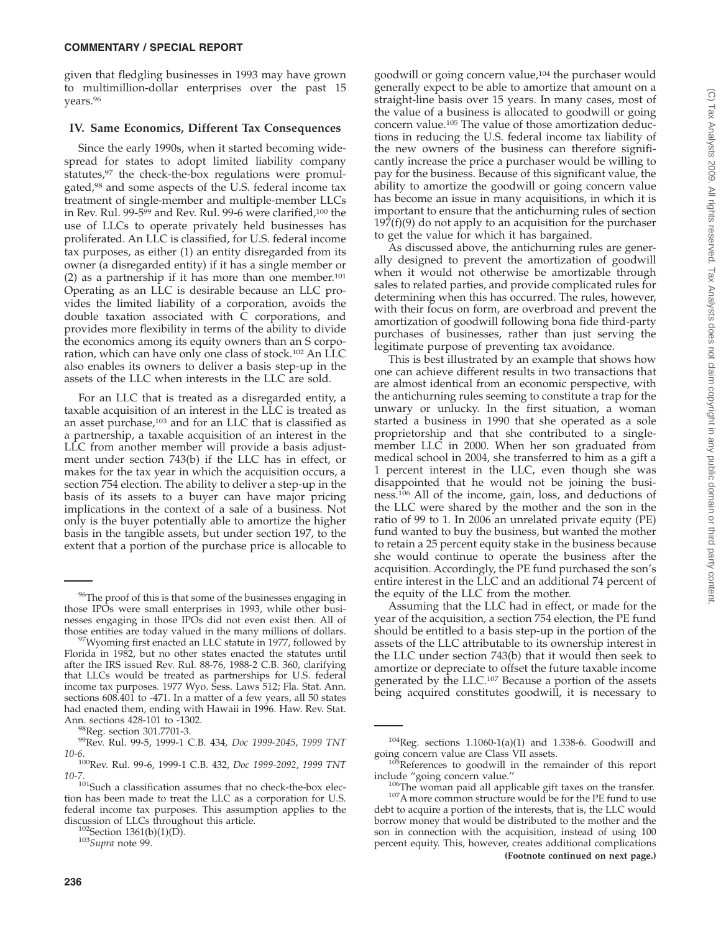given that fledgling businesses in 1993 may have grown to multimillion-dollar enterprises over the past 15 years.96

### **IV. Same Economics, Different Tax Consequences**

Since the early 1990s, when it started becoming widespread for states to adopt limited liability company statutes,<sup>97</sup> the check-the-box regulations were promulgated,<sup>98</sup> and some aspects of the U.S. federal income tax treatment of single-member and multiple-member LLCs in Rev. Rul. 99-599 and Rev. Rul. 99-6 were clarified,100 the use of LLCs to operate privately held businesses has proliferated. An LLC is classified, for U.S. federal income tax purposes, as either (1) an entity disregarded from its owner (a disregarded entity) if it has a single member or (2) as a partnership if it has more than one member.<sup>101</sup> Operating as an LLC is desirable because an LLC provides the limited liability of a corporation, avoids the double taxation associated with C corporations, and provides more flexibility in terms of the ability to divide the economics among its equity owners than an S corporation, which can have only one class of stock.102 An LLC also enables its owners to deliver a basis step-up in the assets of the LLC when interests in the LLC are sold.

For an LLC that is treated as a disregarded entity, a taxable acquisition of an interest in the LLC is treated as an asset purchase,<sup>103</sup> and for an LLC that is classified as a partnership, a taxable acquisition of an interest in the LLC from another member will provide a basis adjustment under section 743(b) if the LLC has in effect, or makes for the tax year in which the acquisition occurs, a section 754 election. The ability to deliver a step-up in the basis of its assets to a buyer can have major pricing implications in the context of a sale of a business. Not only is the buyer potentially able to amortize the higher basis in the tangible assets, but under section 197, to the extent that a portion of the purchase price is allocable to

goodwill or going concern value,104 the purchaser would generally expect to be able to amortize that amount on a straight-line basis over 15 years. In many cases, most of the value of a business is allocated to goodwill or going concern value.105 The value of those amortization deductions in reducing the U.S. federal income tax liability of the new owners of the business can therefore significantly increase the price a purchaser would be willing to pay for the business. Because of this significant value, the ability to amortize the goodwill or going concern value has become an issue in many acquisitions, in which it is important to ensure that the antichurning rules of section  $197(f)(9)$  do not apply to an acquisition for the purchaser to get the value for which it has bargained.

As discussed above, the antichurning rules are generally designed to prevent the amortization of goodwill when it would not otherwise be amortizable through sales to related parties, and provide complicated rules for determining when this has occurred. The rules, however, with their focus on form, are overbroad and prevent the amortization of goodwill following bona fide third-party purchases of businesses, rather than just serving the legitimate purpose of preventing tax avoidance.

This is best illustrated by an example that shows how one can achieve different results in two transactions that are almost identical from an economic perspective, with the antichurning rules seeming to constitute a trap for the unwary or unlucky. In the first situation, a woman started a business in 1990 that she operated as a sole proprietorship and that she contributed to a singlemember LLC in 2000. When her son graduated from medical school in 2004, she transferred to him as a gift a 1 percent interest in the LLC, even though she was disappointed that he would not be joining the business.106 All of the income, gain, loss, and deductions of the LLC were shared by the mother and the son in the ratio of 99 to 1. In 2006 an unrelated private equity (PE) fund wanted to buy the business, but wanted the mother to retain a 25 percent equity stake in the business because she would continue to operate the business after the acquisition. Accordingly, the PE fund purchased the son's entire interest in the LLC and an additional 74 percent of the equity of the LLC from the mother.

Assuming that the LLC had in effect, or made for the year of the acquisition, a section 754 election, the PE fund should be entitled to a basis step-up in the portion of the assets of the LLC attributable to its ownership interest in the LLC under section 743(b) that it would then seek to amortize or depreciate to offset the future taxable income generated by the LLC.107 Because a portion of the assets being acquired constitutes goodwill, it is necessary to

<sup>96</sup>The proof of this is that some of the businesses engaging in those IPOs were small enterprises in 1993, while other businesses engaging in those IPOs did not even exist then. All of those entities are today valued in the many millions of dollars.

 $t^{97}$ Wyoming first enacted an LLC statute in 1977, followed by Florida in 1982, but no other states enacted the statutes until after the IRS issued Rev. Rul. 88-76, 1988-2 C.B. 360, clarifying that LLCs would be treated as partnerships for U.S. federal income tax purposes. 1977 Wyo. Sess. Laws 512; Fla. Stat. Ann. sections 608.401 to -471. In a matter of a few years, all 50 states had enacted them, ending with Hawaii in 1996. Haw. Rev. Stat.<br>Ann. sections 428-101 to -1302.

<sup>&</sup>lt;sup>98</sup>Reg. section 301.7701-3.<br><sup>99</sup>Rev. Rul. 99-5, 1999-1 C.B. 434, *Doc 1999-2045*, 1999 TNT *10-6*.

<sup>100</sup>Rev. Rul. 99-6, 1999-1 C.B. 432, *Doc 1999-2092*, *1999 TNT*

<sup>10-7.&</sup>lt;br><sup>101</sup>Such a classification assumes that no check-the-box election has been made to treat the LLC as a corporation for U.S. federal income tax purposes. This assumption applies to the discussion of LLCs throughout this article.<br><sup>102</sup>Section 1361(b)(1)(D).<br><sup>103</sup>*Supra* note 99.

 $104$ Reg. sections 1.1060-1(a)(1) and 1.338-6. Goodwill and

going concern value are Class VII assets.<br><sup>105</sup>References to goodwill in the remainder of this report

include "going concern value."<br><sup>106</sup>The woman paid all applicable gift taxes on the transfer.<br><sup>107</sup>A more common structure would be for the PE fund to use debt to acquire a portion of the interests, that is, the LLC would borrow money that would be distributed to the mother and the son in connection with the acquisition, instead of using 100 percent equity. This, however, creates additional complications **(Footnote continued on next page.)**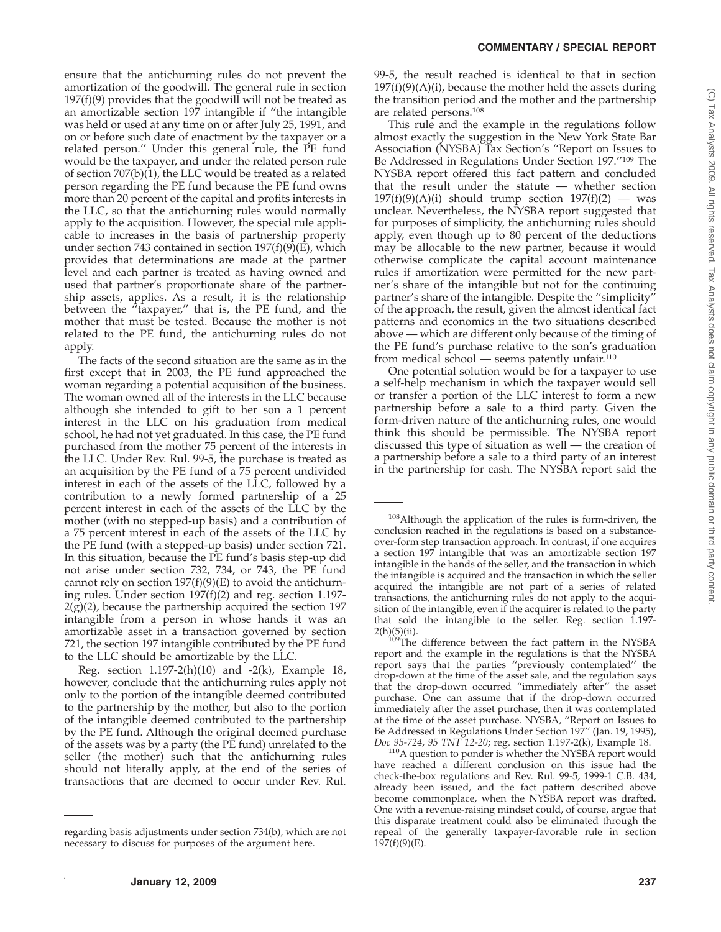ensure that the antichurning rules do not prevent the amortization of the goodwill. The general rule in section  $197(f)(9)$  provides that the goodwill will not be treated as an amortizable section 197 intangible if ''the intangible was held or used at any time on or after July 25, 1991, and on or before such date of enactment by the taxpayer or a related person.'' Under this general rule, the PE fund would be the taxpayer, and under the related person rule of section  $707(b)(1)$ , the LLC would be treated as a related person regarding the PE fund because the PE fund owns more than 20 percent of the capital and profits interests in the LLC, so that the antichurning rules would normally apply to the acquisition. However, the special rule applicable to increases in the basis of partnership property under section 743 contained in section 197(f)(9)(E), which provides that determinations are made at the partner level and each partner is treated as having owned and used that partner's proportionate share of the partnership assets, applies. As a result, it is the relationship between the "taxpayer," that is, the PE fund, and the mother that must be tested. Because the mother is not related to the PE fund, the antichurning rules do not apply.

The facts of the second situation are the same as in the first except that in 2003, the PE fund approached the woman regarding a potential acquisition of the business. The woman owned all of the interests in the LLC because although she intended to gift to her son a 1 percent interest in the LLC on his graduation from medical school, he had not yet graduated. In this case, the PE fund purchased from the mother 75 percent of the interests in the LLC. Under Rev. Rul. 99-5, the purchase is treated as an acquisition by the PE fund of a 75 percent undivided interest in each of the assets of the LLC, followed by a contribution to a newly formed partnership of a 25 percent interest in each of the assets of the LLC by the mother (with no stepped-up basis) and a contribution of a 75 percent interest in each of the assets of the LLC by the PE fund (with a stepped-up basis) under section 721. In this situation, because the PE fund's basis step-up did not arise under section 732, 734, or 743, the PE fund cannot rely on section  $197(f)(9)(E)$  to avoid the antichurning rules. Under section 197(f)(2) and reg. section 1.197-  $2(g)(2)$ , because the partnership acquired the section 197 intangible from a person in whose hands it was an amortizable asset in a transaction governed by section 721, the section 197 intangible contributed by the PE fund to the LLC should be amortizable by the LLC.

Reg. section  $1.197-2(h)(10)$  and  $-2(k)$ , Example 18, however, conclude that the antichurning rules apply not only to the portion of the intangible deemed contributed to the partnership by the mother, but also to the portion of the intangible deemed contributed to the partnership by the PE fund. Although the original deemed purchase of the assets was by a party (the PE fund) unrelated to the seller (the mother) such that the antichurning rules should not literally apply, at the end of the series of transactions that are deemed to occur under Rev. Rul.

99-5, the result reached is identical to that in section  $197(f)(9)(A)(i)$ , because the mother held the assets during the transition period and the mother and the partnership are related persons.108

This rule and the example in the regulations follow almost exactly the suggestion in the New York State Bar Association (NYSBA) Tax Section's ''Report on Issues to Be Addressed in Regulations Under Section 197.''109 The NYSBA report offered this fact pattern and concluded that the result under the statute — whether section  $197(f)(9)(A)(i)$  should trump section  $197(f)(2)$  — was unclear. Nevertheless, the NYSBA report suggested that for purposes of simplicity, the antichurning rules should apply, even though up to 80 percent of the deductions may be allocable to the new partner, because it would otherwise complicate the capital account maintenance rules if amortization were permitted for the new partner's share of the intangible but not for the continuing partner's share of the intangible. Despite the ''simplicity'' of the approach, the result, given the almost identical fact patterns and economics in the two situations described above — which are different only because of the timing of the PE fund's purchase relative to the son's graduation from medical school — seems patently unfair. $110$ 

One potential solution would be for a taxpayer to use a self-help mechanism in which the taxpayer would sell or transfer a portion of the LLC interest to form a new partnership before a sale to a third party. Given the form-driven nature of the antichurning rules, one would think this should be permissible. The NYSBA report discussed this type of situation as well — the creation of a partnership before a sale to a third party of an interest in the partnership for cash. The NYSBA report said the

regarding basis adjustments under section 734(b), which are not necessary to discuss for purposes of the argument here.

<sup>108</sup>Although the application of the rules is form-driven, the conclusion reached in the regulations is based on a substanceover-form step transaction approach. In contrast, if one acquires a section 197 intangible that was an amortizable section 197 intangible in the hands of the seller, and the transaction in which the intangible is acquired and the transaction in which the seller acquired the intangible are not part of a series of related transactions, the antichurning rules do not apply to the acquisition of the intangible, even if the acquirer is related to the party that sold the intangible to the seller. Reg. section 1.197- $2(h)(5)(ii)$ .

 $\frac{\partial^6 T_{\text{th}}}{\partial \theta^6}$  difference between the fact pattern in the NYSBA report and the example in the regulations is that the NYSBA report says that the parties ''previously contemplated'' the drop-down at the time of the asset sale, and the regulation says that the drop-down occurred ''immediately after'' the asset purchase. One can assume that if the drop-down occurred immediately after the asset purchase, then it was contemplated at the time of the asset purchase. NYSBA, ''Report on Issues to Be Addressed in Regulations Under Section 197" (Jan. 19, 1995), *Doc 95-724, 95 TNT 12-20;* reg. section 1.197-2(k), Example 18.

<sup>&</sup>lt;sup>110</sup>A question to ponder is whether the NYSBA report would have reached a different conclusion on this issue had the check-the-box regulations and Rev. Rul. 99-5, 1999-1 C.B. 434, already been issued, and the fact pattern described above become commonplace, when the NYSBA report was drafted. One with a revenue-raising mindset could, of course, argue that this disparate treatment could also be eliminated through the repeal of the generally taxpayer-favorable rule in section  $197(f)(9)(E)$ .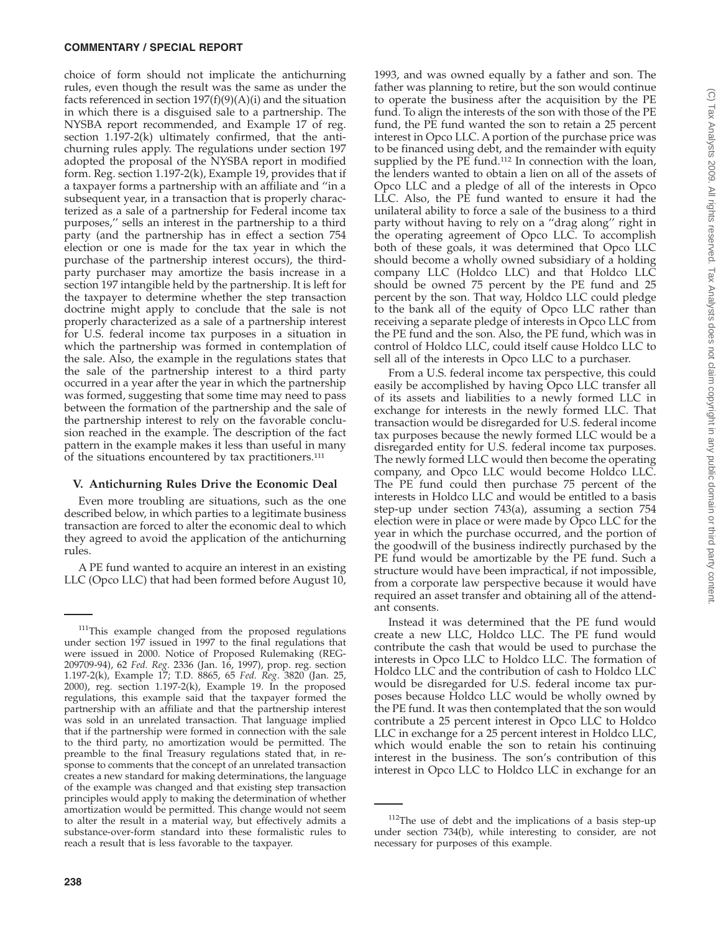choice of form should not implicate the antichurning rules, even though the result was the same as under the facts referenced in section  $197(f)(9)(A)(i)$  and the situation in which there is a disguised sale to a partnership. The NYSBA report recommended, and Example 17 of reg. section 1.197-2(k) ultimately confirmed, that the antichurning rules apply. The regulations under section 197 adopted the proposal of the NYSBA report in modified form. Reg. section 1.197-2(k), Example 19, provides that if a taxpayer forms a partnership with an affiliate and ''in a subsequent year, in a transaction that is properly characterized as a sale of a partnership for Federal income tax purposes,'' sells an interest in the partnership to a third party (and the partnership has in effect a section 754 election or one is made for the tax year in which the purchase of the partnership interest occurs), the thirdparty purchaser may amortize the basis increase in a section 197 intangible held by the partnership. It is left for the taxpayer to determine whether the step transaction doctrine might apply to conclude that the sale is not properly characterized as a sale of a partnership interest for U.S. federal income tax purposes in a situation in which the partnership was formed in contemplation of the sale. Also, the example in the regulations states that the sale of the partnership interest to a third party occurred in a year after the year in which the partnership was formed, suggesting that some time may need to pass between the formation of the partnership and the sale of the partnership interest to rely on the favorable conclusion reached in the example. The description of the fact pattern in the example makes it less than useful in many of the situations encountered by tax practitioners.<sup>111</sup>

### **V. Antichurning Rules Drive the Economic Deal**

Even more troubling are situations, such as the one described below, in which parties to a legitimate business transaction are forced to alter the economic deal to which they agreed to avoid the application of the antichurning rules.

A PE fund wanted to acquire an interest in an existing LLC (Opco LLC) that had been formed before August 10,

1993, and was owned equally by a father and son. The father was planning to retire, but the son would continue to operate the business after the acquisition by the PE fund. To align the interests of the son with those of the PE fund, the PE fund wanted the son to retain a 25 percent interest in Opco LLC. A portion of the purchase price was to be financed using debt, and the remainder with equity supplied by the PE fund.<sup>112</sup> In connection with the loan, the lenders wanted to obtain a lien on all of the assets of Opco LLC and a pledge of all of the interests in Opco LLC. Also, the PE fund wanted to ensure it had the unilateral ability to force a sale of the business to a third party without having to rely on a ''drag along'' right in the operating agreement of Opco LLC. To accomplish both of these goals, it was determined that Opco LLC should become a wholly owned subsidiary of a holding company LLC (Holdco LLC) and that Holdco LLC should be owned 75 percent by the PE fund and 25 percent by the son. That way, Holdco LLC could pledge to the bank all of the equity of Opco LLC rather than receiving a separate pledge of interests in Opco LLC from the PE fund and the son. Also, the PE fund, which was in control of Holdco LLC, could itself cause Holdco LLC to sell all of the interests in Opco LLC to a purchaser.

From a U.S. federal income tax perspective, this could easily be accomplished by having Opco LLC transfer all of its assets and liabilities to a newly formed LLC in exchange for interests in the newly formed LLC. That transaction would be disregarded for U.S. federal income tax purposes because the newly formed LLC would be a disregarded entity for U.S. federal income tax purposes. The newly formed LLC would then become the operating company, and Opco LLC would become Holdco LLC. The PE fund could then purchase 75 percent of the interests in Holdco LLC and would be entitled to a basis step-up under section 743(a), assuming a section 754 election were in place or were made by Opco LLC for the year in which the purchase occurred, and the portion of the goodwill of the business indirectly purchased by the PE fund would be amortizable by the PE fund. Such a structure would have been impractical, if not impossible, from a corporate law perspective because it would have required an asset transfer and obtaining all of the attendant consents.

Instead it was determined that the PE fund would create a new LLC, Holdco LLC. The PE fund would contribute the cash that would be used to purchase the interests in Opco LLC to Holdco LLC. The formation of Holdco LLC and the contribution of cash to Holdco LLC would be disregarded for U.S. federal income tax purposes because Holdco LLC would be wholly owned by the PE fund. It was then contemplated that the son would contribute a 25 percent interest in Opco LLC to Holdco LLC in exchange for a 25 percent interest in Holdco LLC, which would enable the son to retain his continuing interest in the business. The son's contribution of this interest in Opco LLC to Holdco LLC in exchange for an

<sup>&</sup>lt;sup>111</sup>This example changed from the proposed regulations under section 197 issued in 1997 to the final regulations that were issued in 2000. Notice of Proposed Rulemaking (REG-209709-94), 62 *Fed. Reg*. 2336 (Jan. 16, 1997), prop. reg. section 1.197-2(k), Example 17; T.D. 8865, 65 *Fed. Reg*. 3820 (Jan. 25, 2000), reg. section 1.197-2(k), Example 19. In the proposed regulations, this example said that the taxpayer formed the partnership with an affiliate and that the partnership interest was sold in an unrelated transaction. That language implied that if the partnership were formed in connection with the sale to the third party, no amortization would be permitted. The preamble to the final Treasury regulations stated that, in response to comments that the concept of an unrelated transaction creates a new standard for making determinations, the language of the example was changed and that existing step transaction principles would apply to making the determination of whether amortization would be permitted. This change would not seem to alter the result in a material way, but effectively admits a substance-over-form standard into these formalistic rules to reach a result that is less favorable to the taxpayer.

<sup>&</sup>lt;sup>112</sup>The use of debt and the implications of a basis step-up under section 734(b), while interesting to consider, are not necessary for purposes of this example.